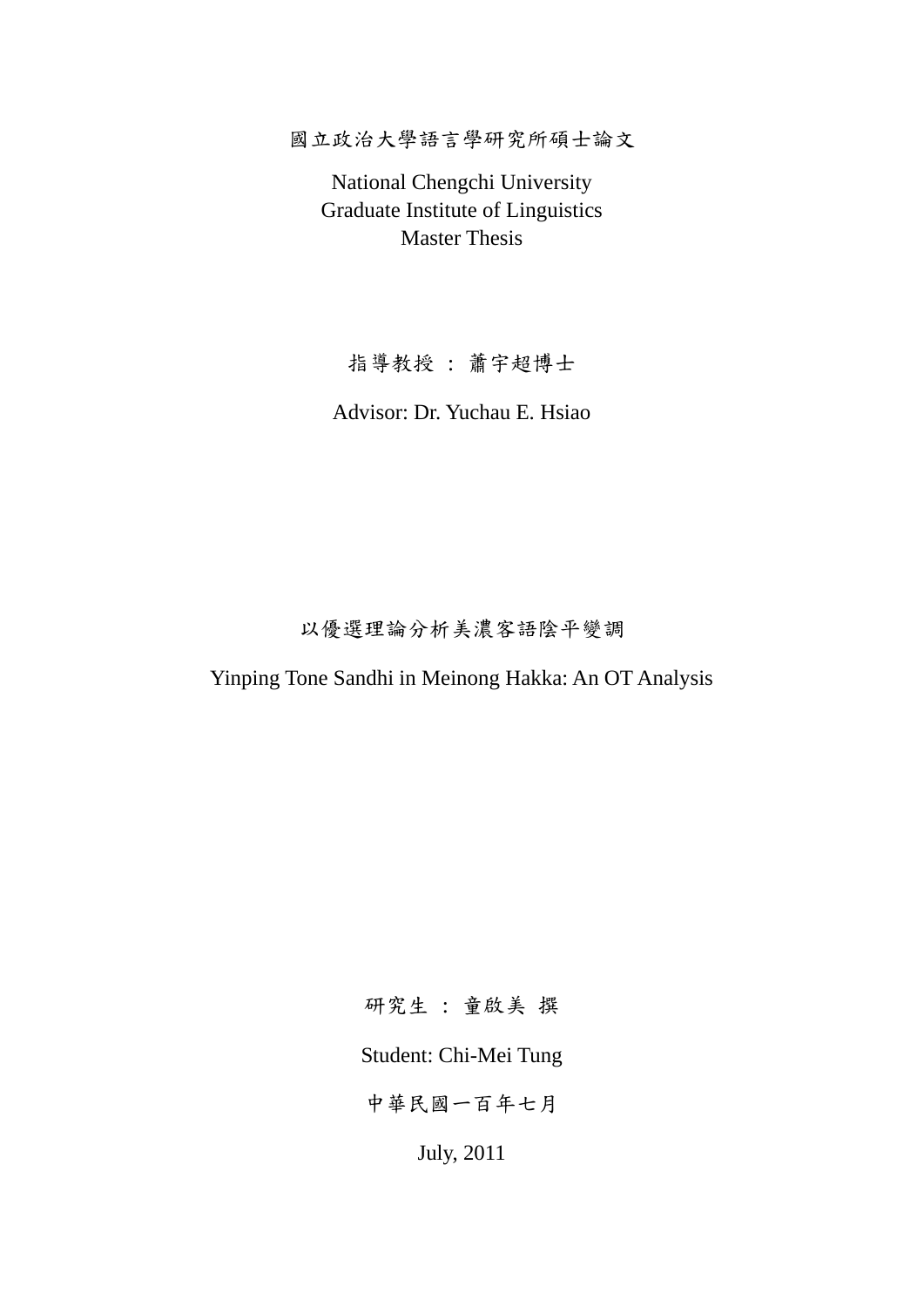國立政治大學語言學研究所碩士論文

National Chengchi University Graduate Institute of Linguistics Master Thesis

指導教授 : 蕭宇超博士

Advisor: Dr. Yuchau E. Hsiao

以優選理論分析美濃客語陰平變調

Yinping Tone Sandhi in Meinong Hakka: An OT Analysis

研究生 : 童啟美 撰

Student: Chi-Mei Tung

中華民國一百年七月

July, 2011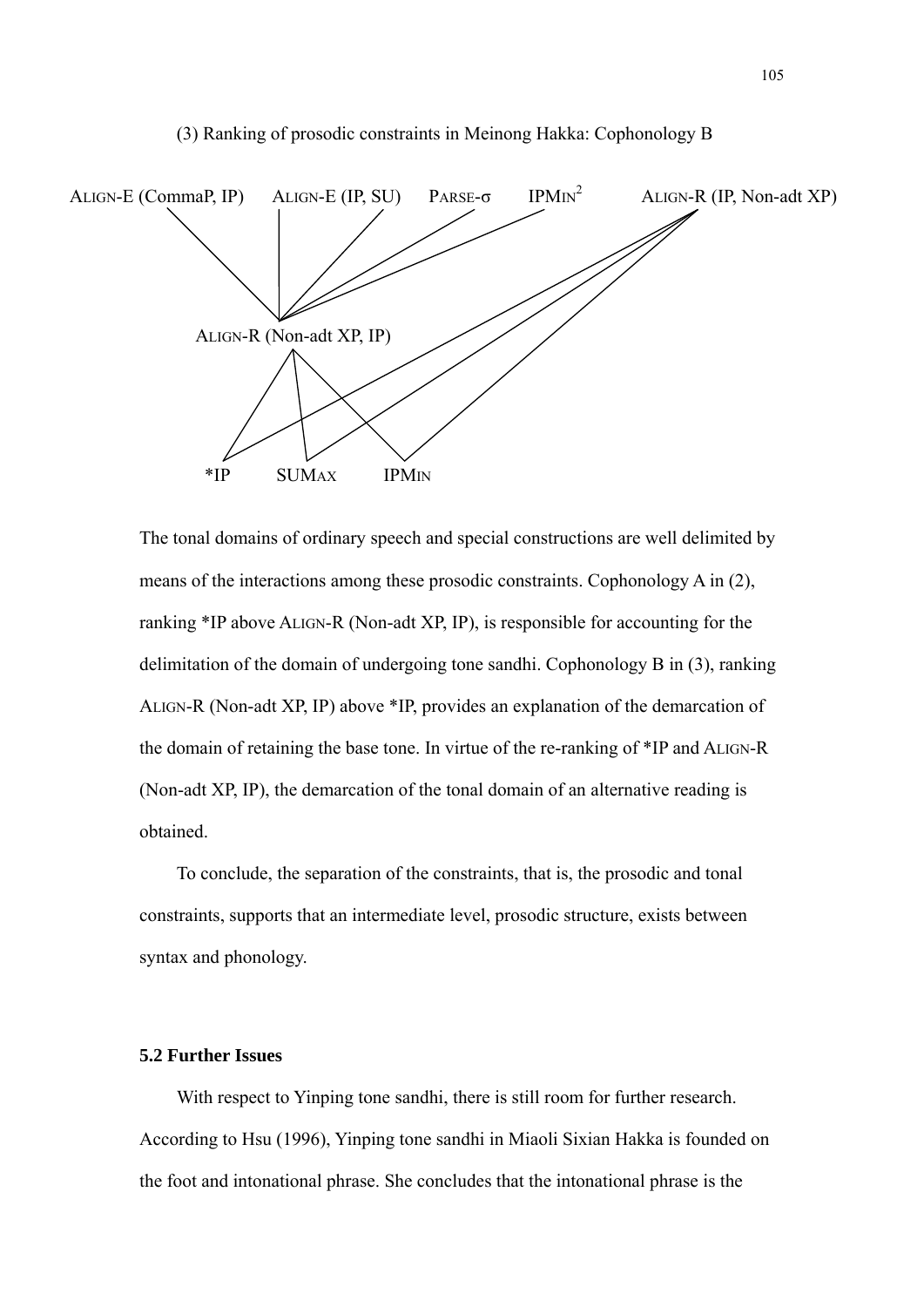



ALIGN-R (Non-adt XP, IP) above \*IP, provides an explanation of the demarcation of<br>the domain of retaining the base tone. In virtue of the re-ranking of \*IP and ALIGN-R<br>(Non-adt XP, IP), the demarcation of the tonal domain The tonal domains of ordinary speech and special constructions are well delimited by means of the interactions among these prosodic constraints. Cophonology A in (2), ranking \*IP above ALIGN-R (Non-adt XP, IP), is responsible for accounting for the delimitation of the domain of undergoing tone sandhi. Cophonology B in (3), ranking the domain of retaining the base tone. In virtue of the re-ranking of \*IP and ALIGN-R (Non-adt XP, IP), the demarcation of the tonal domain of an alternative reading is obtained.

 To conclude, the separation of the constraints, that is, the prosodic and tonal constraints, supports that an intermediate level, prosodic structure, exists between syntax and phonology.

## **5.2 Further Issues**

 With respect to Yinping tone sandhi, there is still room for further research. According to Hsu (1996), Yinping tone sandhi in Miaoli Sixian Hakka is founded on the foot and intonational phrase. She concludes that the intonational phrase is the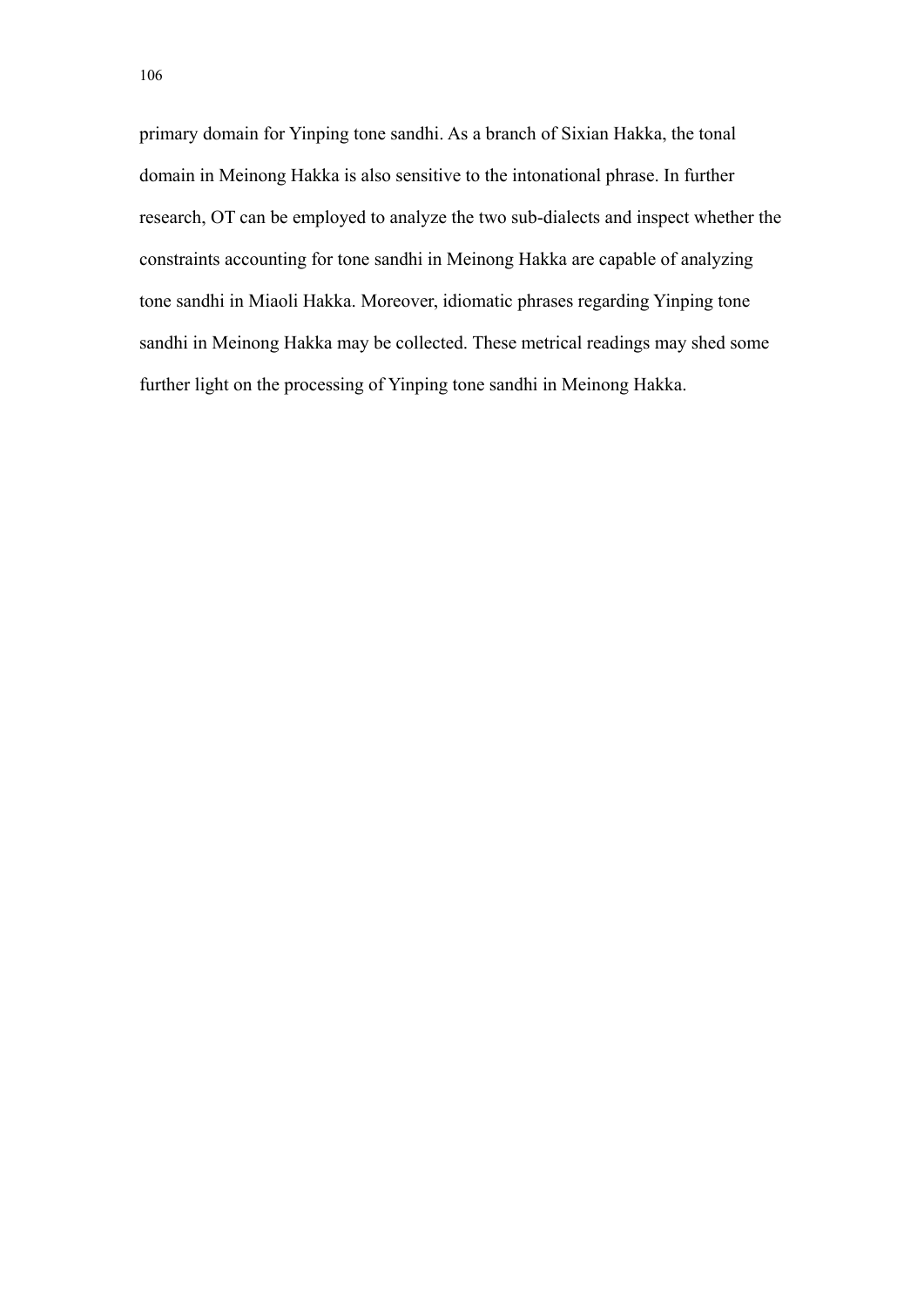primary domain for Yinping tone sandhi. As a branch of Sixian Hakka, the tonal domain in Meinong Hakka is also sensitive to the intonational phrase. In further research, OT can be employed to analyze the two sub-dialects and inspect whether the constraints accounting for tone sandhi in Meinong Hakka are capable of analyzing tone sandhi in Miaoli Hakka. Moreover, idiomatic phrases regarding Yinping tone sandhi in Meinong Hakka may be collected. These metrical readings may shed some further light on the processing of Yinping tone sandhi in Meinong Hakka.

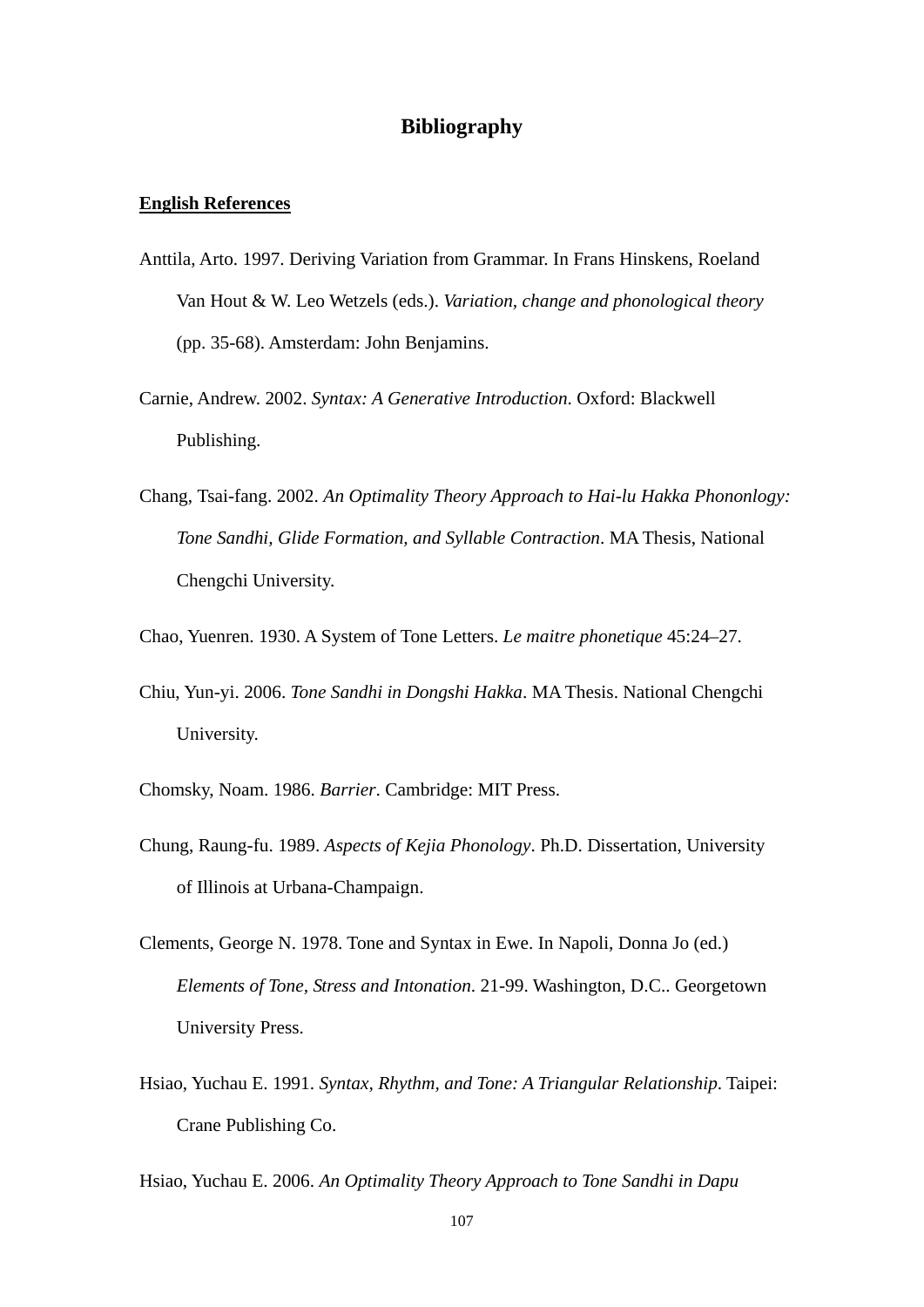## **Bibliography**

## **English References**

- Anttila, Arto. 1997. Deriving Variation from Grammar. In Frans Hinskens, Roeland Van Hout & W. Leo Wetzels (eds.). *Variation, change and phonological theory* (pp. 35-68). Amsterdam: John Benjamins.
- Carnie, Andrew. 2002. *Syntax: A Generative Introduction*. Oxford: Blackwell Publishing.
- iversit<br>030. A An Optimality Theory Approach to I 學 Chang, Tsai-fang. 2002. *An Optimality Theory Approach to Hai-lu Hakka Phononlogy: Tone Sandhi, Glide Formation, and Syllable Contraction*. MA Thesis, National Chengchi University.
- ‧ Chao, Yuenren. 1930. A System of Tone Letters. *Le maitre phonetique* 45:24–27.
- N Chiu, Yun-yi. 2006. *Tone Sandhi in Dongshi Hakka*. MA Thesis. National Chengchi ational Chenger Hakka. MA Thesis. Nat University.

Chomsky, Noam. 1986. *Barrier*. Cambridge: MIT Press.

- Chung, Raung-fu. 1989. *Aspects of Kejia Phonology*. Ph.D. Dissertation, University of Illinois at Urbana-Champaign.
- Clements, George N. 1978. Tone and Syntax in Ewe. In Napoli, Donna Jo (ed.) *Elements of Tone, Stress and Intonation*. 21-99. Washington, D.C.. Georgetown University Press.
- Hsiao, Yuchau E. 1991. *Syntax, Rhythm, and Tone: A Triangular Relationship*. Taipei: Crane Publishing Co.

Hsiao, Yuchau E. 2006. *An Optimality Theory Approach to Tone Sandhi in Dapu*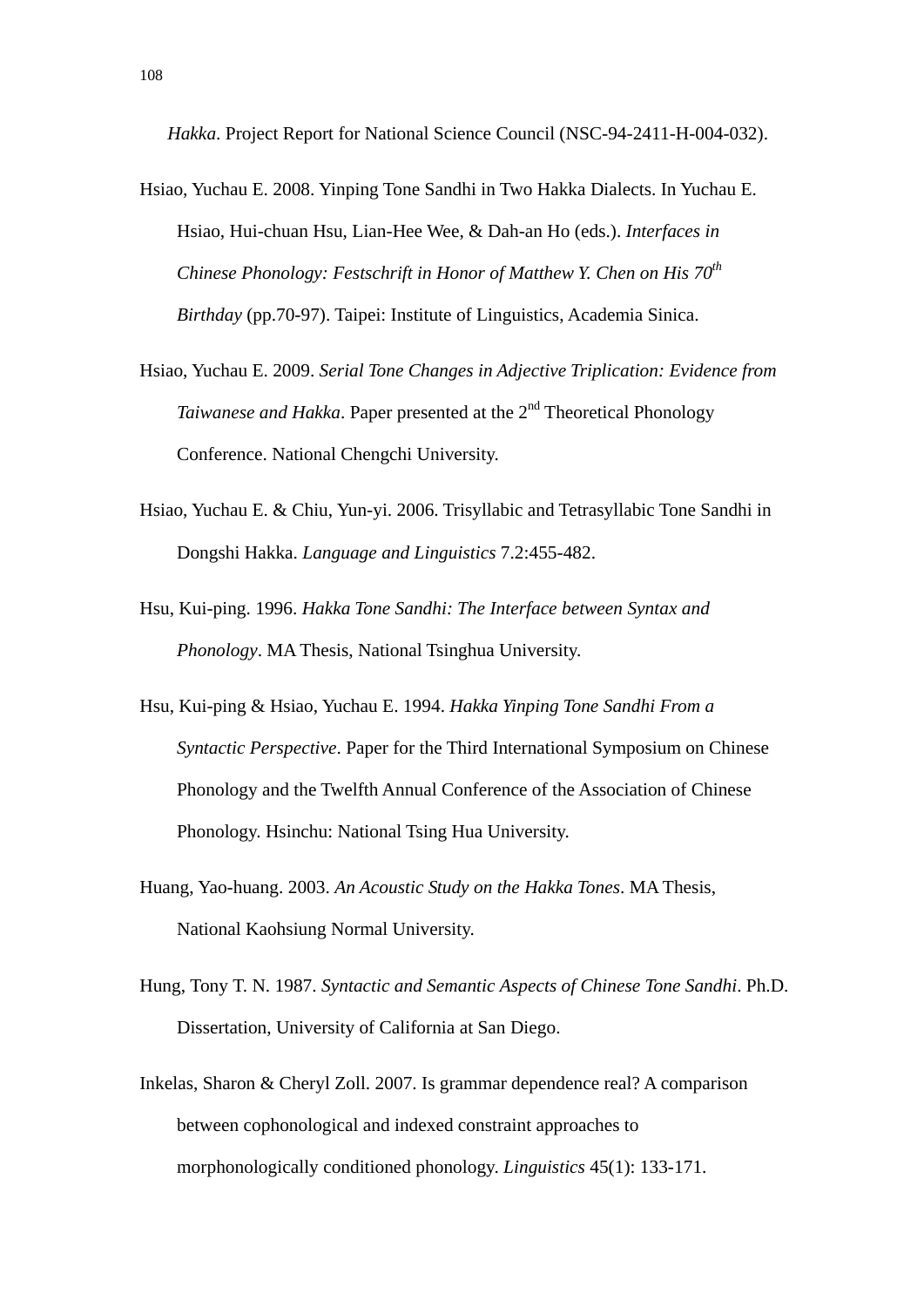*Hakka*. Project Report for National Science Council (NSC-94-2411-H-004-032).

- Hsiao, Yuchau E. 2008. Yinping Tone Sandhi in Two Hakka Dialects. In Yuchau E. Hsiao, Hui-chuan Hsu, Lian-Hee Wee, & Dah-an Ho (eds.). *Interfaces in Chinese Phonology: Festschrift in Honor of Matthew Y. Chen on His 70<sup>th</sup> Birthday* (pp.70-97). Taipei: Institute of Linguistics, Academia Sinica.
- Hsiao, Yuchau E. 2009. *Serial Tone Changes in Adjective Triplication: Evidence from Taiwanese and Hakka*. Paper presented at the 2<sup>nd</sup> Theoretical Phonology Conference. National Chengchi University.
- ar Chengem Chryslery.<br>u, Yun-yi. 2006. Trisyllabic and Tetra 學 Hsiao, Yuchau E. & Chiu, Yun-yi. 2006. Trisyllabic and Tetrasyllabic Tone Sandhi in Dongshi Hakka. *Language and Linguistics* 7.2:455-482.
- Phonology. MA Thesis, National Tsinghua University. <u>na: Ea</u><br>*(In)*<br>96. Ha<br>4A Th ‧ Hsu, Kui-ping. 1996. *Hakka Tone Sandhi: The Interface between Syntax and*
- Hsu, Kui-ping & Hsiao, Yuchau E. 1994. *Hakka Yinping Tone Sandhi From a Syntactic Perspective*. Paper for the Third International Symposium on C<br>Phonology and the Twelfth Annual Conference of the Association of Chi<br>Phonol *Syntactic Perspective*. Paper for the Third International Symposium on Chinese Phonology and the Twelfth Annual Conference of the Association of Chinese Phonology. Hsinchu: National Tsing Hua University.
- Huang, Yao-huang. 2003. *An Acoustic Study on the Hakka Tones*. MA Thesis, National Kaohsiung Normal University.
- Hung, Tony T. N. 1987. *Syntactic and Semantic Aspects of Chinese Tone Sandhi*. Ph.D. Dissertation, University of California at San Diego.
- Inkelas, Sharon & Cheryl Zoll. 2007. Is grammar dependence real? A comparison between cophonological and indexed constraint approaches to morphonologically conditioned phonology. *Linguistics* 45(1): 133-171.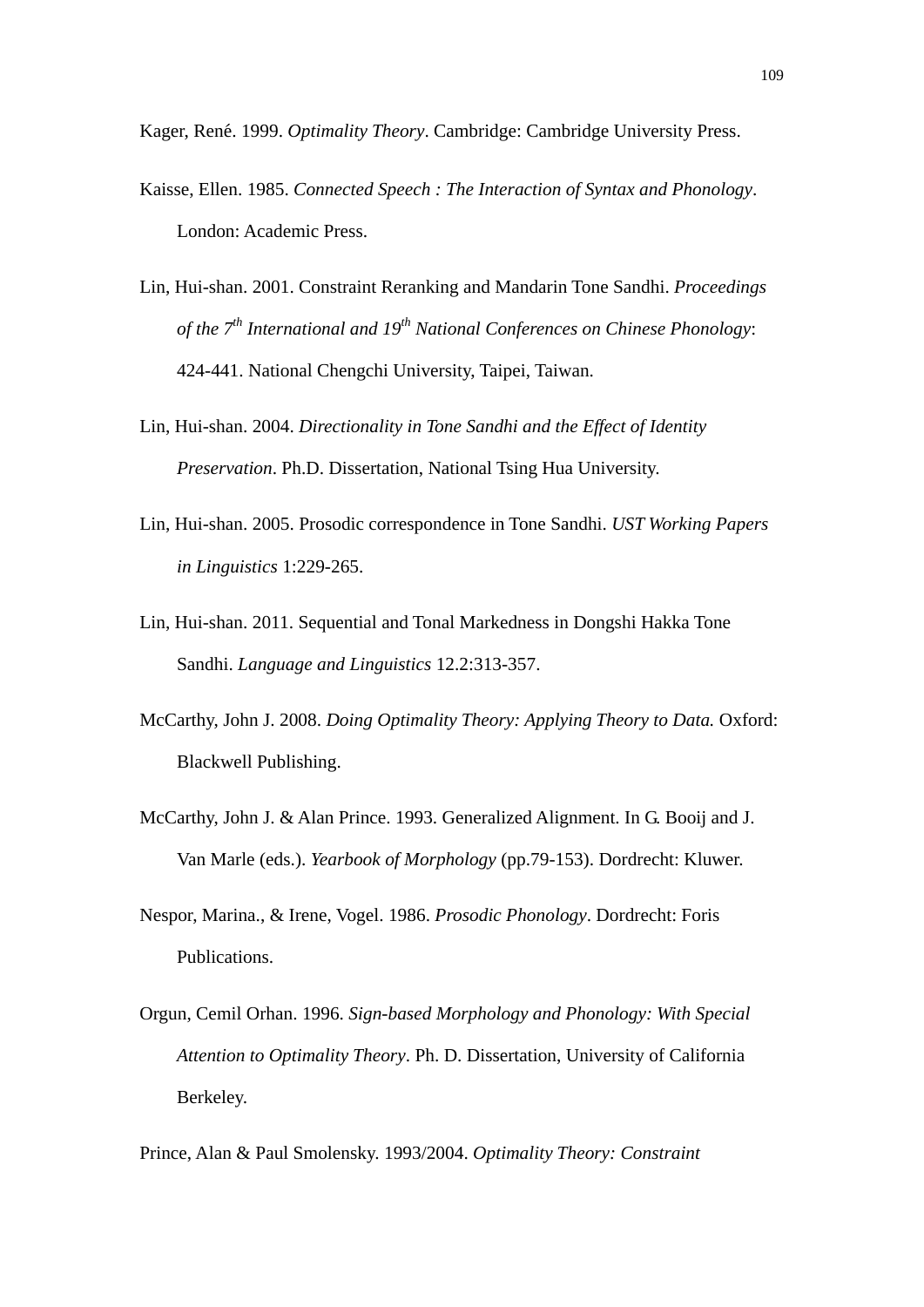Kager, René. 1999. *Optimality Theory*. Cambridge: Cambridge University Press.

- Kaisse, Ellen. 1985. *Connected Speech : The Interaction of Syntax and Phonology*. London: Academic Press.
- Lin, Hui-shan. 2001. Constraint Reranking and Mandarin Tone Sandhi. *Proceedings of the 7th International and 19th National Conferences on Chinese Phonology*: 424-441. National Chengchi University, Taipei, Taiwan.
- Preservation. Ph.D. Dissertation, National Tsing Hua University.<br>Lin, Hui-shan. 2005. Prosodic correspondence in Tone Sandhi. *UST Working Papers* Lin, Hui-shan. 2004. *Directionality in Tone Sandhi and the Effect of Identity Preservation*. Ph.D. Dissertation, National Tsing Hua University.
- 學 *in Linguistics* 1:229-265.
- in Linguistics 1:229-265.<br>
Hui-shan. 2011. Sequential and Tonal Markedness<br>
Sandhi. *Language and Linguistics* 12.2:313-357. ‧ Lin, Hui-shan. 2011. Sequential and Tonal Markedness in Dongshi Hakka Tone

N

- 108. Doing Optimality Theory: Applying Theory<br>ishing.<br>Alan Prince. 1993. Generalized Alignment. In C McCarthy, John J. 2008. *Doing Optimality Theory: Applying Theory to Data.* Oxford: Blackwell Publishing.
- McCarthy, John J. & Alan Prince. 1993. Generalized Alignment. In G. Booij and J. Van Marle (eds.). *Yearbook of Morphology* (pp.79-153). Dordrecht: Kluwer.
- Nespor, Marina., & Irene, Vogel. 1986. *Prosodic Phonology*. Dordrecht: Foris Publications.
- Orgun, Cemil Orhan. 1996. *Sign-based Morphology and Phonology: With Special Attention to Optimality Theory*. Ph. D. Dissertation, University of California Berkeley.

Prince, Alan & Paul Smolensky. 1993/2004. *Optimality Theory: Constraint*